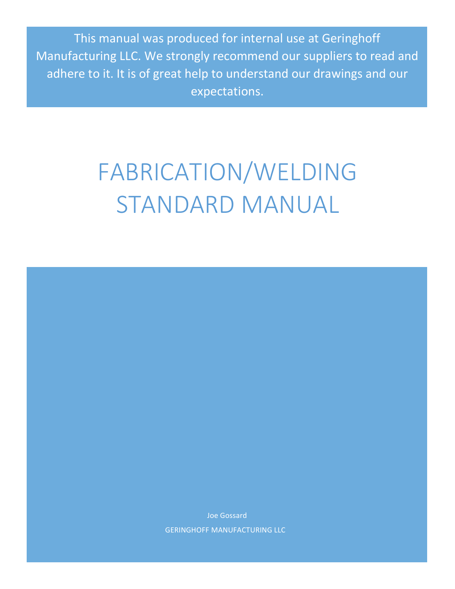This manual was produced for internal use at Geringhoff Manufacturing LLC. We strongly recommend our suppliers to read and adhere to it. It is of great help to understand our drawings and our expectations.

# FABRICATION/WELDING STANDARD MANUAL

Joe Gossard **GERINGHOFF MANUFACTURING LLC**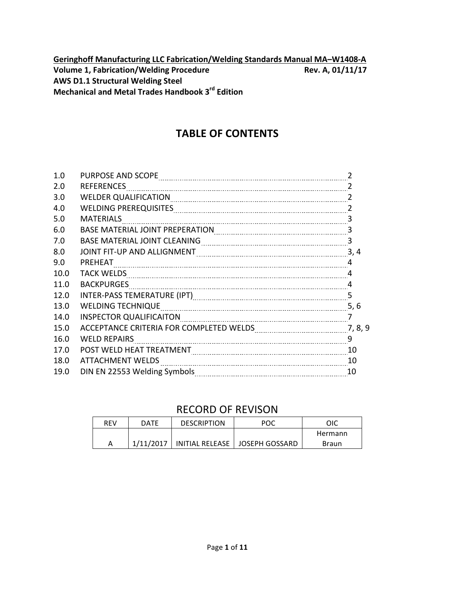**Geringhoff Manufacturing LLC Fabrication/Welding Standards Manual MA-W1408-A Volume 1, Fabrication/Welding Procedure Rev.** A, 01/11/17 **AWS D1.1 Structural Welding Steel Mechanical and Metal Trades Handbook 3<sup>rd</sup> Edition** 

## **TABLE OF CONTENTS**

| 1.0  | PURPOSE AND SCOPE                                                                                                                                                                                                              | $\mathcal{P}$ |
|------|--------------------------------------------------------------------------------------------------------------------------------------------------------------------------------------------------------------------------------|---------------|
| 2.0  | <b>REFERENCES</b>                                                                                                                                                                                                              | 2             |
| 3.0  | <b>WELDER QUALIFICATION</b>                                                                                                                                                                                                    | 2             |
| 4.0  | WELDING PREREQUISITES MARKET AND THE RESERVE TO A MARKET AND THE RESERVE TO A MARKET AND THE RESERVE TO A MARKET AND THE RESERVE TO A MARKET AND THE RESERVE TO A MARKET AND THE RESERVE TO A MARKET AND THE RESERVE TO A MARK | 2             |
| 5.0  | <b>MATERIALS</b>                                                                                                                                                                                                               | 3             |
| 6.0  |                                                                                                                                                                                                                                | 3             |
| 7.0  | <b>BASE MATERIAL JOINT CLEANING</b>                                                                                                                                                                                            | 3             |
| 8.0  | JOINT FIT-UP AND ALLIGNMENT                                                                                                                                                                                                    | 3, 4          |
| 9.0  | PREHEAT                                                                                                                                                                                                                        | 4             |
| 10.0 | <b>TACK WELDS</b>                                                                                                                                                                                                              | 4             |
| 11.0 | <b>BACKPURGES</b>                                                                                                                                                                                                              | 4             |
| 12.0 | INTER-PASS TEMERATURE (IPT) [199] [199] [199] [199] [199] [199] [199] [199] [199] [199] [199] [199] [199] [199                                                                                                                 | 5             |
| 13.0 | <b>WELDING TECHNIQUE</b>                                                                                                                                                                                                       | 5, 6          |
| 14.0 | <b>INSPECTOR QUALIFICAITON</b>                                                                                                                                                                                                 | 7             |
| 15.0 | ACCEPTANCE CRITERIA FOR COMPLETED WELDS                                                                                                                                                                                        | 7, 8, 9       |
| 16.0 | <b>WELD REPAIRS</b>                                                                                                                                                                                                            | 9             |
| 17.0 | POST WELD HEAT TREATMENT                                                                                                                                                                                                       | 10            |
| 18.0 | <b>ATTACHMENT WELDS</b>                                                                                                                                                                                                        | 10            |
| 19.0 |                                                                                                                                                                                                                                | 10            |
|      |                                                                                                                                                                                                                                |               |

## RECORD OF REVISON

| REV | DATE      | <b>DESCRIPTION</b> | POC                              | OIC     |
|-----|-----------|--------------------|----------------------------------|---------|
|     |           |                    |                                  | Hermann |
| А   | 1/11/2017 |                    | INITIAL RELEASE   JOSEPH GOSSARD | Braun   |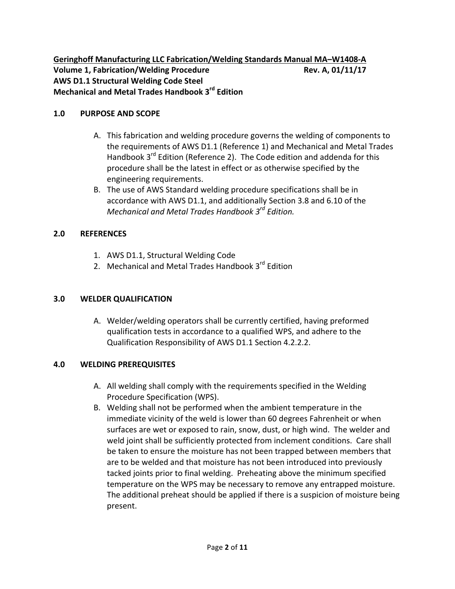**Geringhoff Manufacturing LLC Fabrication/Welding Standards Manual MA-W1408-A Volume 1, Fabrication/Welding Procedure Rev. A, 01/11/17 AWS D1.1 Structural Welding Code Steel Mechanical and Metal Trades Handbook 3rd Edition**

#### 1.0 PURPOSE AND SCOPE

- A. This fabrication and welding procedure governs the welding of components to the requirements of AWS D1.1 (Reference 1) and Mechanical and Metal Trades Handbook  $3^{rd}$  Edition (Reference 2). The Code edition and addenda for this procedure shall be the latest in effect or as otherwise specified by the engineering requirements.
- B. The use of AWS Standard welding procedure specifications shall be in accordance with AWS D1.1, and additionally Section 3.8 and 6.10 of the *Mechanical and Metal Trades Handbook 3rd Edition.*

## **2.0 REFERENCES**

- 1. AWS D1.1, Structural Welding Code
- 2. Mechanical and Metal Trades Handbook 3<sup>rd</sup> Edition

## **3.0 WELDER QUALIFICATION**

A. Welder/welding operators shall be currently certified, having preformed qualification tests in accordance to a qualified WPS, and adhere to the Qualification Responsibility of AWS D1.1 Section 4.2.2.2.

## **4.0 WELDING PREREQUISITES**

- A. All welding shall comply with the requirements specified in the Welding Procedure Specification (WPS).
- B. Welding shall not be performed when the ambient temperature in the immediate vicinity of the weld is lower than 60 degrees Fahrenheit or when surfaces are wet or exposed to rain, snow, dust, or high wind. The welder and weld joint shall be sufficiently protected from inclement conditions. Care shall be taken to ensure the moisture has not been trapped between members that are to be welded and that moisture has not been introduced into previously tacked joints prior to final welding. Preheating above the minimum specified temperature on the WPS may be necessary to remove any entrapped moisture. The additional preheat should be applied if there is a suspicion of moisture being present.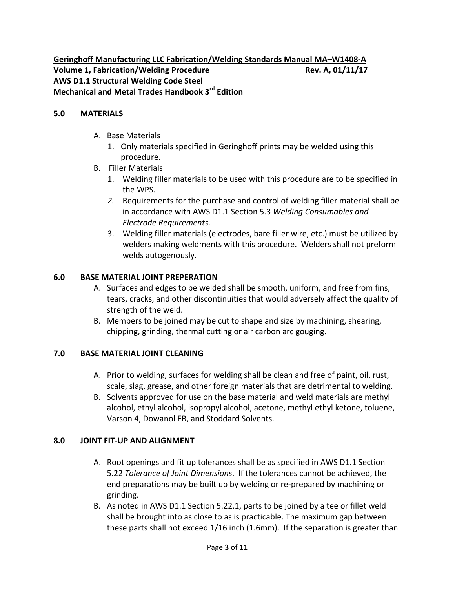Geringhoff Manufacturing LLC Fabrication/Welding Standards Manual MA-W1408-A **Volume 1, Fabrication/Welding Procedure Rev. A, 01/11/17 AWS D1.1 Structural Welding Code Steel Mechanical and Metal Trades Handbook 3rd Edition**

#### **5.0 MATERIALS**

- A. Base Materials
	- 1. Only materials specified in Geringhoff prints may be welded using this procedure.
- **B.** Filler Materials
	- 1. Welding filler materials to be used with this procedure are to be specified in the WPS.
	- 2. Requirements for the purchase and control of welding filler material shall be in accordance with AWS D1.1 Section 5.3 Welding Consumables and *Electrode Requirements.*
	- 3. Welding filler materials (electrodes, bare filler wire, etc.) must be utilized by welders making weldments with this procedure. Welders shall not preform welds autogenously.

#### **6.0 BASE MATERIAL JOINT PREPERATION**

- A. Surfaces and edges to be welded shall be smooth, uniform, and free from fins, tears, cracks, and other discontinuities that would adversely affect the quality of strength of the weld.
- B. Members to be joined may be cut to shape and size by machining, shearing, chipping, grinding, thermal cutting or air carbon arc gouging.

#### **7.0 BASE MATERIAL JOINT CLEANING**

- A. Prior to welding, surfaces for welding shall be clean and free of paint, oil, rust, scale, slag, grease, and other foreign materials that are detrimental to welding.
- B. Solvents approved for use on the base material and weld materials are methyl alcohol, ethyl alcohol, isopropyl alcohol, acetone, methyl ethyl ketone, toluene, Varson 4, Dowanol EB, and Stoddard Solvents.

#### **8.0 JOINT FIT-UP AND ALIGNMENT**

- A. Root openings and fit up tolerances shall be as specified in AWS D1.1 Section 5.22 Tolerance of Joint Dimensions. If the tolerances cannot be achieved, the end preparations may be built up by welding or re-prepared by machining or grinding.
- B. As noted in AWS D1.1 Section 5.22.1, parts to be joined by a tee or fillet weld shall be brought into as close to as is practicable. The maximum gap between these parts shall not exceed  $1/16$  inch (1.6mm). If the separation is greater than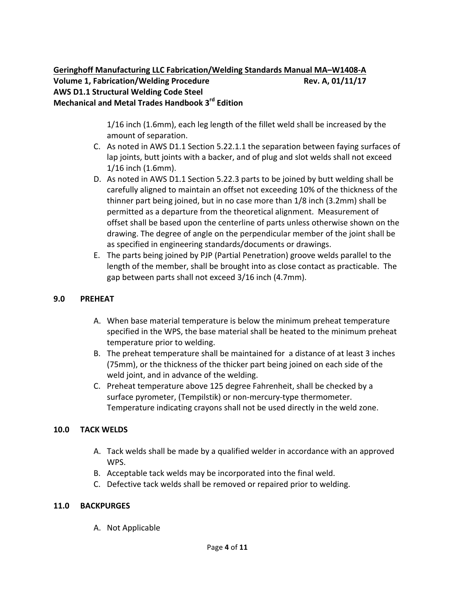1/16 inch (1.6mm), each leg length of the fillet weld shall be increased by the amount of separation.

- C. As noted in AWS D1.1 Section 5.22.1.1 the separation between faying surfaces of lap joints, butt joints with a backer, and of plug and slot welds shall not exceed  $1/16$  inch (1.6mm).
- D. As noted in AWS D1.1 Section 5.22.3 parts to be joined by butt welding shall be carefully aligned to maintain an offset not exceeding 10% of the thickness of the thinner part being joined, but in no case more than  $1/8$  inch (3.2mm) shall be permitted as a departure from the theoretical alignment. Measurement of offset shall be based upon the centerline of parts unless otherwise shown on the drawing. The degree of angle on the perpendicular member of the joint shall be as specified in engineering standards/documents or drawings.
- E. The parts being joined by PJP (Partial Penetration) groove welds parallel to the length of the member, shall be brought into as close contact as practicable. The gap between parts shall not exceed 3/16 inch (4.7mm).

## **9.0 PREHEAT**

- A. When base material temperature is below the minimum preheat temperature specified in the WPS, the base material shall be heated to the minimum preheat temperature prior to welding.
- B. The preheat temperature shall be maintained for a distance of at least 3 inches (75mm), or the thickness of the thicker part being joined on each side of the weld joint, and in advance of the welding.
- C. Preheat temperature above 125 degree Fahrenheit, shall be checked by a surface pyrometer, (Tempilstik) or non-mercury-type thermometer. Temperature indicating crayons shall not be used directly in the weld zone.

#### **10.0 TACK WELDS**

- A. Tack welds shall be made by a qualified welder in accordance with an approved WPS.
- B. Acceptable tack welds may be incorporated into the final weld.
- C. Defective tack welds shall be removed or repaired prior to welding.

#### **11.0 BACKPURGES**

A. Not Applicable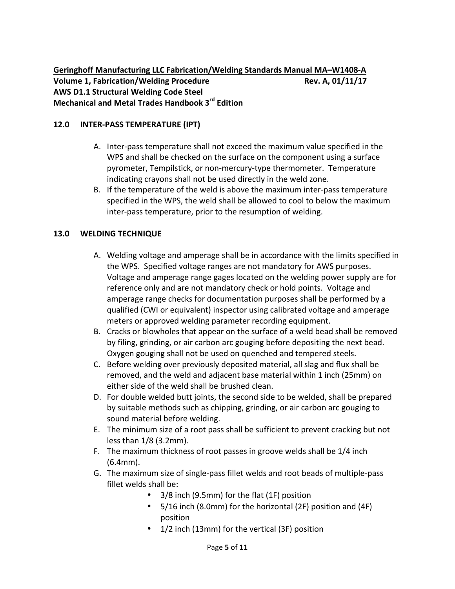Geringhoff Manufacturing LLC Fabrication/Welding Standards Manual MA-W1408-A **Volume 1, Fabrication/Welding Procedure 8. 2011/17 Rev. A, 01/11/17 AWS D1.1 Structural Welding Code Steel Mechanical and Metal Trades Handbook 3rd Edition**

#### 12.0 **INTER-PASS TEMPERATURE (IPT)**

- A. Inter-pass temperature shall not exceed the maximum value specified in the WPS and shall be checked on the surface on the component using a surface pyrometer, Tempilstick, or non-mercury-type thermometer. Temperature indicating crayons shall not be used directly in the weld zone.
- B. If the temperature of the weld is above the maximum inter-pass temperature specified in the WPS, the weld shall be allowed to cool to below the maximum inter-pass temperature, prior to the resumption of welding.

#### **13.0 WELDING TECHNIQUE**

- A. Welding voltage and amperage shall be in accordance with the limits specified in the WPS. Specified voltage ranges are not mandatory for AWS purposes. Voltage and amperage range gages located on the welding power supply are for reference only and are not mandatory check or hold points. Voltage and amperage range checks for documentation purposes shall be performed by a qualified (CWI or equivalent) inspector using calibrated voltage and amperage meters or approved welding parameter recording equipment.
- B. Cracks or blowholes that appear on the surface of a weld bead shall be removed by filing, grinding, or air carbon arc gouging before depositing the next bead. Oxygen gouging shall not be used on quenched and tempered steels.
- C. Before welding over previously deposited material, all slag and flux shall be removed, and the weld and adjacent base material within 1 inch (25mm) on either side of the weld shall be brushed clean.
- D. For double welded butt joints, the second side to be welded, shall be prepared by suitable methods such as chipping, grinding, or air carbon arc gouging to sound material before welding.
- E. The minimum size of a root pass shall be sufficient to prevent cracking but not less than  $1/8$  (3.2mm).
- F. The maximum thickness of root passes in groove welds shall be  $1/4$  inch (6.4mm).
- G. The maximum size of single-pass fillet welds and root beads of multiple-pass fillet welds shall be:
	- 3/8 inch (9.5mm) for the flat (1F) position
	- 5/16 inch (8.0mm) for the horizontal (2F) position and (4F) position
	- $1/2$  inch (13mm) for the vertical (3F) position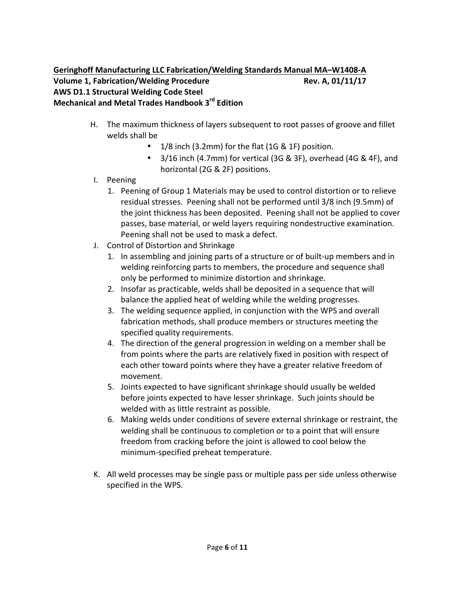- H. The maximum thickness of layers subsequent to root passes of groove and fillet welds shall be
	- $1/8$  inch (3.2mm) for the flat (1G & 1F) position.
	- $3/16$  inch (4.7mm) for vertical (3G & 3F), overhead (4G & 4F), and horizontal (2G & 2F) positions.
- I. Peening
	- 1. Peening of Group 1 Materials may be used to control distortion or to relieve residual stresses. Peening shall not be performed until 3/8 inch (9.5mm) of the joint thickness has been deposited. Peening shall not be applied to cover passes, base material, or weld layers requiring nondestructive examination. Peening shall not be used to mask a defect.
- J. Control of Distortion and Shrinkage
	- 1. In assembling and joining parts of a structure or of built-up members and in welding reinforcing parts to members, the procedure and sequence shall only be performed to minimize distortion and shrinkage.
	- 2. Insofar as practicable, welds shall be deposited in a sequence that will balance the applied heat of welding while the welding progresses.
	- 3. The welding sequence applied, in conjunction with the WPS and overall fabrication methods, shall produce members or structures meeting the specified quality requirements.
	- 4. The direction of the general progression in welding on a member shall be from points where the parts are relatively fixed in position with respect of each other toward points where they have a greater relative freedom of movement.
	- 5. Joints expected to have significant shrinkage should usually be welded before joints expected to have lesser shrinkage. Such joints should be welded with as little restraint as possible.
	- 6. Making welds under conditions of severe external shrinkage or restraint, the welding shall be continuous to completion or to a point that will ensure freedom from cracking before the joint is allowed to cool below the minimum-specified preheat temperature.
- K. All weld processes may be single pass or multiple pass per side unless otherwise specified in the WPS.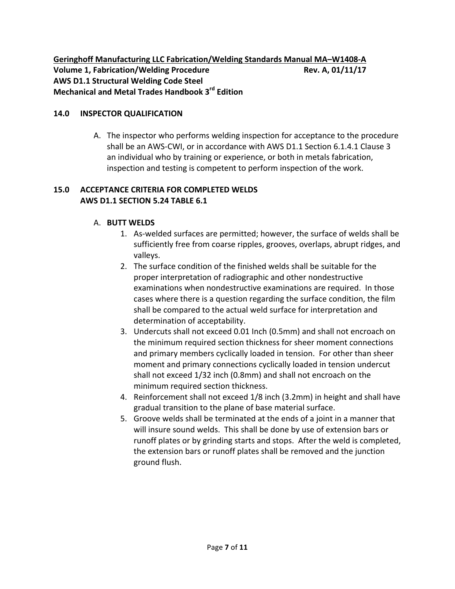**Geringhoff Manufacturing LLC Fabrication/Welding Standards Manual MA-W1408-A Volume 1, Fabrication/Welding Procedure Rev. A, 01/11/17 AWS D1.1 Structural Welding Code Steel Mechanical and Metal Trades Handbook 3rd Edition**

#### **14.0 INSPECTOR QUALIFICATION**

A. The inspector who performs welding inspection for acceptance to the procedure shall be an AWS-CWI, or in accordance with AWS D1.1 Section 6.1.4.1 Clause 3 an individual who by training or experience, or both in metals fabrication, inspection and testing is competent to perform inspection of the work.

#### **15.0 ACCEPTANCE CRITERIA FOR COMPLETED WELDS AWS D1.1 SECTION 5.24 TABLE 6.1**

#### A. **BUTT WELDS**

- 1. As-welded surfaces are permitted; however, the surface of welds shall be sufficiently free from coarse ripples, grooves, overlaps, abrupt ridges, and valleys.
- 2. The surface condition of the finished welds shall be suitable for the proper interpretation of radiographic and other nondestructive examinations when nondestructive examinations are required. In those cases where there is a question regarding the surface condition, the film shall be compared to the actual weld surface for interpretation and determination of acceptability.
- 3. Undercuts shall not exceed 0.01 Inch (0.5mm) and shall not encroach on the minimum required section thickness for sheer moment connections and primary members cyclically loaded in tension. For other than sheer moment and primary connections cyclically loaded in tension undercut shall not exceed 1/32 inch (0.8mm) and shall not encroach on the minimum required section thickness.
- 4. Reinforcement shall not exceed 1/8 inch (3.2mm) in height and shall have gradual transition to the plane of base material surface.
- 5. Groove welds shall be terminated at the ends of a joint in a manner that will insure sound welds. This shall be done by use of extension bars or runoff plates or by grinding starts and stops. After the weld is completed, the extension bars or runoff plates shall be removed and the junction ground flush.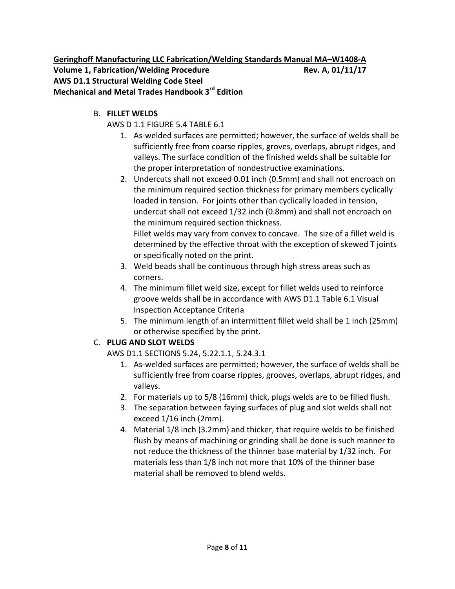**Geringhoff Manufacturing LLC Fabrication/Welding Standards Manual MA-W1408-A Volume 1, Fabrication/Welding Procedure Rev. A, 01/11/17 AWS D1.1 Structural Welding Code Steel Mechanical and Metal Trades Handbook 3rd Edition**

B. **FILLET WELDS**

## AWS D 1.1 FIGURE 5.4 TABLE 6.1

- 1. As-welded surfaces are permitted; however, the surface of welds shall be sufficiently free from coarse ripples, groves, overlaps, abrupt ridges, and valleys. The surface condition of the finished welds shall be suitable for the proper interpretation of nondestructive examinations.
- 2. Undercuts shall not exceed 0.01 inch (0.5mm) and shall not encroach on the minimum required section thickness for primary members cyclically loaded in tension. For joints other than cyclically loaded in tension, undercut shall not exceed 1/32 inch (0.8mm) and shall not encroach on the minimum required section thickness.

Fillet welds may vary from convex to concave. The size of a fillet weld is determined by the effective throat with the exception of skewed T joints or specifically noted on the print.

- 3. Weld beads shall be continuous through high stress areas such as corners.
- 4. The minimum fillet weld size, except for fillet welds used to reinforce groove welds shall be in accordance with AWS D1.1 Table 6.1 Visual Inspection Acceptance Criteria
- 5. The minimum length of an intermittent fillet weld shall be 1 inch (25mm) or otherwise specified by the print.

## C. **PLUG AND SLOT WELDS**

AWS D1.1 SECTIONS 5.24, 5.22.1.1, 5.24.3.1

- 1. As-welded surfaces are permitted; however, the surface of welds shall be sufficiently free from coarse ripples, grooves, overlaps, abrupt ridges, and valleys.
- 2. For materials up to 5/8 (16mm) thick, plugs welds are to be filled flush.
- 3. The separation between faying surfaces of plug and slot welds shall not exceed  $1/16$  inch (2mm).
- 4. Material 1/8 inch (3.2mm) and thicker, that require welds to be finished flush by means of machining or grinding shall be done is such manner to not reduce the thickness of the thinner base material by 1/32 inch. For materials less than 1/8 inch not more that 10% of the thinner base material shall be removed to blend welds.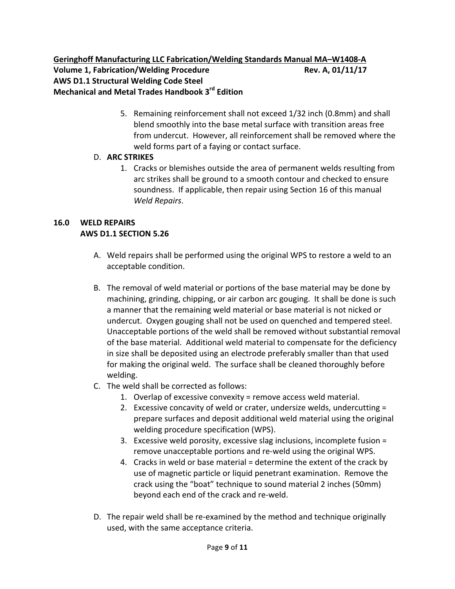## Geringhoff Manufacturing LLC Fabrication/Welding Standards Manual MA-W1408-A **Volume 1, Fabrication/Welding Procedure 8. 2011/17/17 Rev. A, 01/11/17 AWS D1.1 Structural Welding Code Steel Mechanical and Metal Trades Handbook 3rd Edition**

5. Remaining reinforcement shall not exceed 1/32 inch (0.8mm) and shall blend smoothly into the base metal surface with transition areas free from undercut. However, all reinforcement shall be removed where the weld forms part of a faying or contact surface.

## D. **ARC STRIKES**

1. Cracks or blemishes outside the area of permanent welds resulting from arc strikes shall be ground to a smooth contour and checked to ensure soundness. If applicable, then repair using Section 16 of this manual *Weld Repairs*.

## **16.0 WELD REPAIRS AWS D1.1 SECTION 5.26**

- A. Weld repairs shall be performed using the original WPS to restore a weld to an acceptable condition.
- B. The removal of weld material or portions of the base material may be done by machining, grinding, chipping, or air carbon arc gouging. It shall be done is such a manner that the remaining weld material or base material is not nicked or undercut. Oxygen gouging shall not be used on quenched and tempered steel. Unacceptable portions of the weld shall be removed without substantial removal of the base material. Additional weld material to compensate for the deficiency in size shall be deposited using an electrode preferably smaller than that used for making the original weld. The surface shall be cleaned thoroughly before welding.
- C. The weld shall be corrected as follows:
	- 1. Overlap of excessive convexity = remove access weld material.
	- 2. Excessive concavity of weld or crater, undersize welds, undercutting  $=$ prepare surfaces and deposit additional weld material using the original welding procedure specification (WPS).
	- 3. Excessive weld porosity, excessive slag inclusions, incomplete fusion  $=$ remove unacceptable portions and re-weld using the original WPS.
	- 4. Cracks in weld or base material = determine the extent of the crack by use of magnetic particle or liquid penetrant examination. Remove the crack using the "boat" technique to sound material 2 inches (50mm) beyond each end of the crack and re-weld.
- D. The repair weld shall be re-examined by the method and technique originally used, with the same acceptance criteria.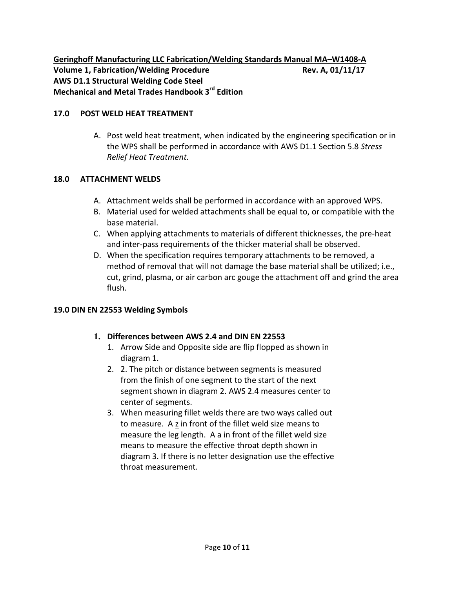**Geringhoff Manufacturing LLC Fabrication/Welding Standards Manual MA-W1408-A Volume 1, Fabrication/Welding Procedure 8. 2011/17/17 Rev. A, 01/11/17 AWS D1.1 Structural Welding Code Steel Mechanical and Metal Trades Handbook 3rd Edition**

#### **17.0 POST WELD HEAT TREATMENT**

A. Post weld heat treatment, when indicated by the engineering specification or in the WPS shall be performed in accordance with AWS D1.1 Section 5.8 Stress *Relief Heat Treatment.*

#### **18.0 ATTACHMENT WELDS**

- A. Attachment welds shall be performed in accordance with an approved WPS.
- B. Material used for welded attachments shall be equal to, or compatible with the base material.
- C. When applying attachments to materials of different thicknesses, the pre-heat and inter-pass requirements of the thicker material shall be observed.
- D. When the specification requires temporary attachments to be removed, a method of removal that will not damage the base material shall be utilized; i.e., cut, grind, plasma, or air carbon arc gouge the attachment off and grind the area flush.

#### **19.0 DIN EN 22553 Welding Symbols**

#### **1. Differences between AWS 2.4 and DIN EN 22553**

- 1. Arrow Side and Opposite side are flip flopped as shown in diagram 1.
- 2. 2. The pitch or distance between segments is measured from the finish of one segment to the start of the next segment shown in diagram 2. AWS 2.4 measures center to center of segments.
- 3. When measuring fillet welds there are two ways called out to measure. A z in front of the fillet weld size means to measure the leg length. A a in front of the fillet weld size means to measure the effective throat depth shown in diagram 3. If there is no letter designation use the effective throat measurement.